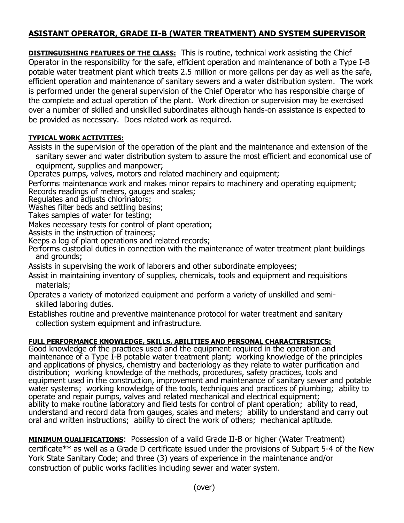## **ASISTANT OPERATOR, GRADE II-B (WATER TREATMENT) AND SYSTEM SUPERVISOR**

**DISTINGUISHING FEATURES OF THE CLASS:** This is routine, technical work assisting the Chief Operator in the responsibility for the safe, efficient operation and maintenance of both a Type I-B potable water treatment plant which treats 2.5 million or more gallons per day as well as the safe, efficient operation and maintenance of sanitary sewers and a water distribution system. The work is performed under the general supervision of the Chief Operator who has responsible charge of the complete and actual operation of the plant. Work direction or supervision may be exercised over a number of skilled and unskilled subordinates although hands-on assistance is expected to be provided as necessary. Does related work as required.

## **TYPICAL WORK ACTIVITIES:**

Assists in the supervision of the operation of the plant and the maintenance and extension of the sanitary sewer and water distribution system to assure the most efficient and economical use of equipment, supplies and manpower;

Operates pumps, valves, motors and related machinery and equipment;

Performs maintenance work and makes minor repairs to machinery and operating equipment; Records readings of meters, gauges and scales;

Regulates and adjusts chlorinators;

Washes filter beds and settling basins;

Takes samples of water for testing;

Makes necessary tests for control of plant operation;

Assists in the instruction of trainees;

Keeps a log of plant operations and related records;

Performs custodial duties in connection with the maintenance of water treatment plant buildings and grounds;

Assists in supervising the work of laborers and other subordinate employees;

Assist in maintaining inventory of supplies, chemicals, tools and equipment and requisitions materials;

Operates a variety of motorized equipment and perform a variety of unskilled and semi skilled laboring duties.

Establishes routine and preventive maintenance protocol for water treatment and sanitary collection system equipment and infrastructure.

## **FULL PERFORMANCE KNOWLEDGE, SKILLS, ABILITIES AND PERSONAL CHARACTERISTICS:**

Good knowledge of the practices used and the equipment required in the operation and maintenance of a Type I-B potable water treatment plant; working knowledge of the principles and applications of physics, chemistry and bacteriology as they relate to water purification and distribution; working knowledge of the methods, procedures, safety practices, tools and equipment used in the construction, improvement and maintenance of sanitary sewer and potable water systems; working knowledge of the tools, techniques and practices of plumbing; ability to operate and repair pumps, valves and related mechanical and electrical equipment; ability to make routine laboratory and field tests for control of plant operation; ability to read, understand and record data from gauges, scales and meters; ability to understand and carry out oral and written instructions; ability to direct the work of others; mechanical aptitude.

**MINIMUM QUALIFICATIONS**: Possession of a valid Grade II-B or higher (Water Treatment) certificate\*\* as well as a Grade D certificate issued under the provisions of Subpart 5-4 of the New York State Sanitary Code; and three (3) years of experience in the maintenance and/or construction of public works facilities including sewer and water system.